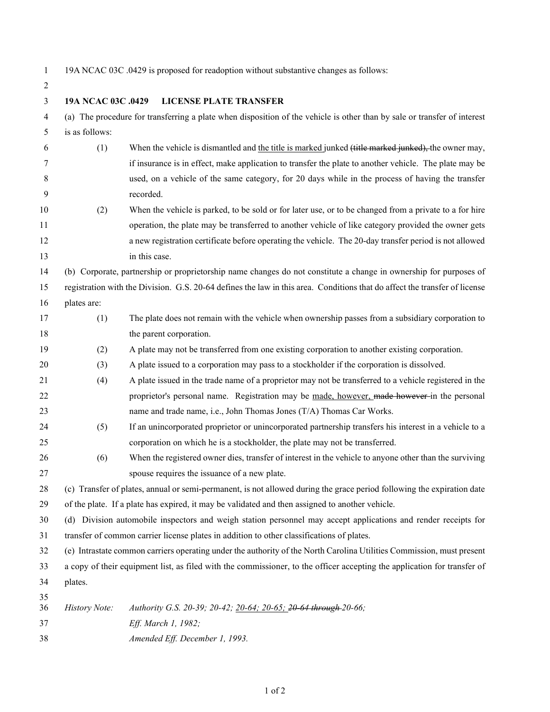19A NCAC 03C .0429 is proposed for readoption without substantive changes as follows:

 **19A NCAC 03C .0429 LICENSE PLATE TRANSFER** (a) The procedure for transferring a plate when disposition of the vehicle is other than by sale or transfer of interest is as follows: 6 (1) When the vehicle is dismantled and the title is marked junked (title marked junked), the owner may, if insurance is in effect, make application to transfer the plate to another vehicle. The plate may be used, on a vehicle of the same category, for 20 days while in the process of having the transfer recorded. (2) When the vehicle is parked, to be sold or for later use, or to be changed from a private to a for hire operation, the plate may be transferred to another vehicle of like category provided the owner gets a new registration certificate before operating the vehicle. The 20-day transfer period is not allowed 13 in this case. (b) Corporate, partnership or proprietorship name changes do not constitute a change in ownership for purposes of registration with the Division. G.S. 20-64 defines the law in this area. Conditions that do affect the transfer of license plates are: (1) The plate does not remain with the vehicle when ownership passes from a subsidiary corporation to 18 the parent corporation. (2) A plate may not be transferred from one existing corporation to another existing corporation. (3) A plate issued to a corporation may pass to a stockholder if the corporation is dissolved. (4) A plate issued in the trade name of a proprietor may not be transferred to a vehicle registered in the 22 proprietor's personal name. Registration may be made, however, made however in the personal name and trade name, i.e., John Thomas Jones (T/A) Thomas Car Works. (5) If an unincorporated proprietor or unincorporated partnership transfers his interest in a vehicle to a corporation on which he is a stockholder, the plate may not be transferred. (6) When the registered owner dies, transfer of interest in the vehicle to anyone other than the surviving spouse requires the issuance of a new plate. (c) Transfer of plates, annual or semi-permanent, is not allowed during the grace period following the expiration date of the plate. If a plate has expired, it may be validated and then assigned to another vehicle. (d) Division automobile inspectors and weigh station personnel may accept applications and render receipts for transfer of common carrier license plates in addition to other classifications of plates. (e) Intrastate common carriers operating under the authority of the North Carolina Utilities Commission, must present a copy of their equipment list, as filed with the commissioner, to the officer accepting the application for transfer of plates. *History Note: Authority G.S. 20-39; 20-42; 20-64; 20-65; 20-64 through 20-66; Eff. March 1, 1982; Amended Eff. December 1, 1993.*